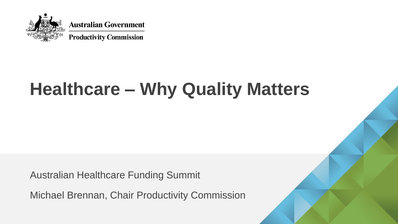

# **Healthcare – Why Quality Matters**

Australian Healthcare Funding Summit

Michael Brennan, Chair Productivity Commission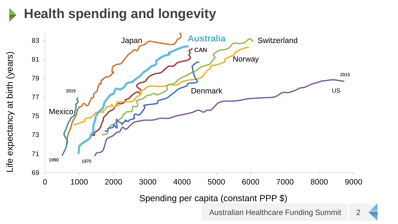# **Health spending and longevity**

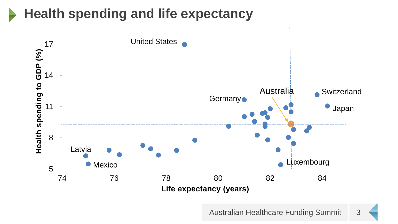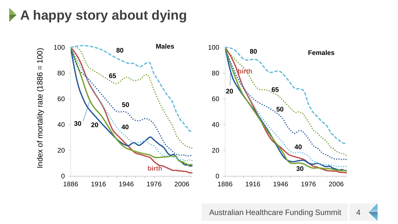**A happy story about dying**

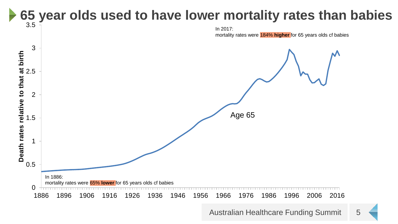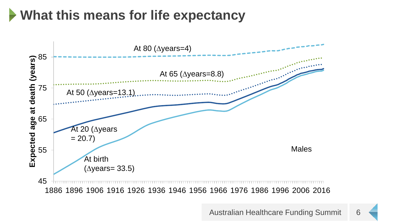# **What this means for life expectancy**

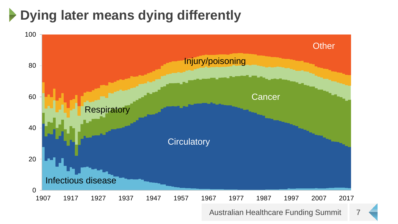# **Dying later means dying differently**

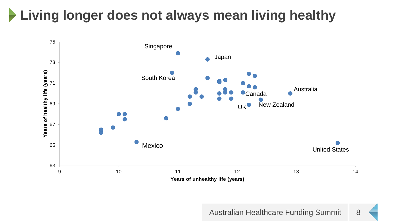### **Living longer does not always mean living healthy**

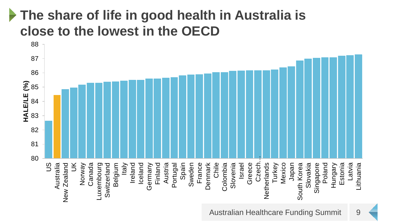#### **The share of life in good health in Australia is close to the lowest in the OECD**